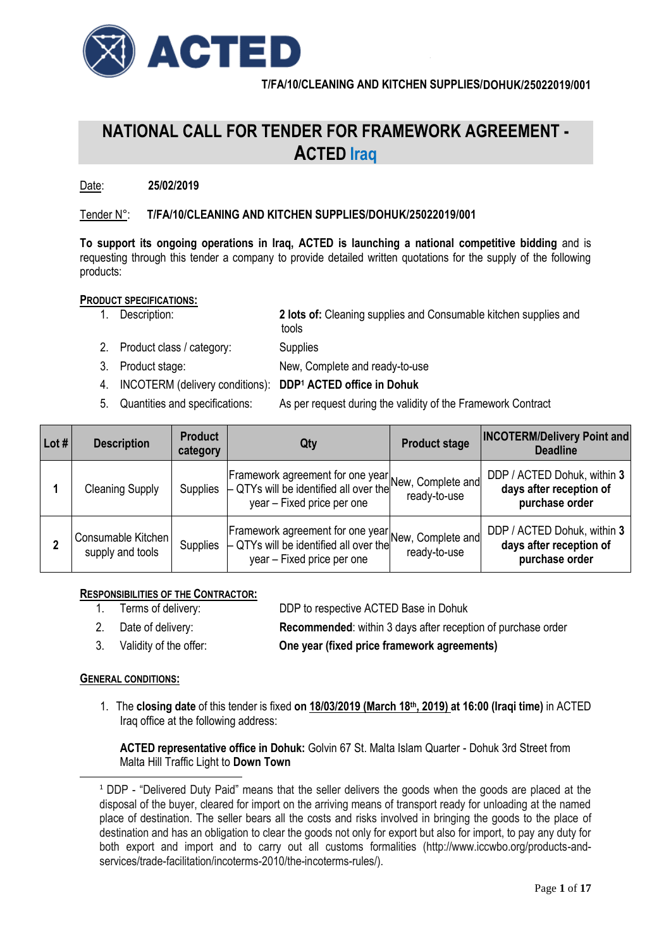

# **NATIONAL CALL FOR TENDER FOR FRAMEWORK AGREEMENT - ACTED Iraq**

# Date: **25/02/2019**

# Tender N°: **T/FA/10/CLEANING AND KITCHEN SUPPLIES/DOHUK/25022019/001**

**To support its ongoing operations in Iraq, ACTED is launching a national competitive bidding** and is requesting through this tender a company to provide detailed written quotations for the supply of the following products:

# **PRODUCT SPECIFICATIONS:**

1. Description: **2 lots of:** Cleaning supplies and Consumable kitchen supplies and

tools and the contract of the contract of the contract of the contract of the contract of the contract of the c

- 2. Product class / category: Supplies
- 3. Product stage: New, Complete and ready-to-use
- 4. INCOTERM (delivery conditions): **DDP<sup>1</sup> ACTED office in Dohuk**
- 
- 5. Quantities and specifications: As per request during the validity of the Framework Contract

| Lot # l | <b>Description</b>                     | <b>Product</b><br>category | Qty                                                                                                                                     | <b>Product stage</b> | <b>INCOTERM/Delivery Point and</b><br><b>Deadline</b>                    |  |
|---------|----------------------------------------|----------------------------|-----------------------------------------------------------------------------------------------------------------------------------------|----------------------|--------------------------------------------------------------------------|--|
|         | <b>Cleaning Supply</b>                 | <b>Supplies</b>            | Framework agreement for one year <br> New, Complete and <br>$\vdash$ QTYs will be identified all over the<br>year - Fixed price per one | ready-to-use         | DDP / ACTED Dohuk, within 3<br>days after reception of<br>purchase order |  |
|         | Consumable Kitchen<br>supply and tools | <b>Supplies</b>            | Framework agreement for one year New, Complete and <br>$\vdash$ QTYs will be identified all over the<br>year - Fixed price per one      | ready-to-use         | DDP / ACTED Dohuk, within 3<br>days after reception of<br>purchase order |  |

## **RESPONSIBILITIES OF THE CONTRACTOR:**

- 1. Terms of delivery: DDP to respective ACTED Base in Dohuk
- 2. Date of delivery: **Recommended**: within 3 days after reception of purchase order
- 3. Validity of the offer: **One year (fixed price framework agreements)**

## **GENERAL CONDITIONS:**

 $\overline{a}$ 

1. The **closing date** of this tender is fixed **on 18/03/2019 (March 18 th, 2019) at 16:00 (Iraqi time)** in ACTED Iraq office at the following address:

**ACTED representative office in Dohuk:** Golvin 67 St. Malta Islam Quarter - Dohuk 3rd Street from Malta Hill Traffic Light to **Down Town**

<sup>1</sup> DDP - "Delivered Duty Paid" means that the seller delivers the goods when the goods are placed at the disposal of the buyer, cleared for import on the arriving means of transport ready for unloading at the named place of destination. The seller bears all the costs and risks involved in bringing the goods to the place of destination and has an obligation to clear the goods not only for export but also for import, to pay any duty for both export and import and to carry out all customs formalities (http://www.iccwbo.org/products-andservices/trade-facilitation/incoterms-2010/the-incoterms-rules/).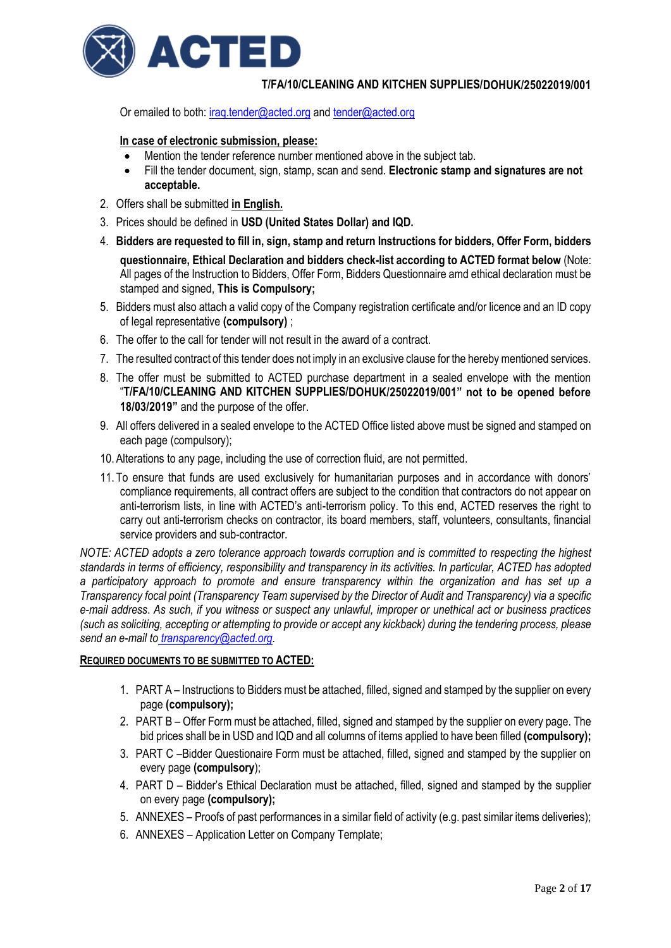

Or emailed to both[: iraq.tender@acted.org](mailto:iraq.tender@acted.org) an[d tender@acted.org](mailto:tender@acted.org)

## **In case of electronic submission, please:**

- Mention the tender reference number mentioned above in the subject tab.
- Fill the tender document, sign, stamp, scan and send. **Electronic stamp and signatures are not acceptable.**
- 2. Offers shall be submitted **in English.**
- 3. Prices should be defined in **USD (United States Dollar) and IQD.**
- 4. **Bidders are requested to fill in, sign, stamp and return Instructions for bidders, Offer Form, bidders questionnaire, Ethical Declaration and bidders check-list according to ACTED format below** (Note: All pages of the Instruction to Bidders, Offer Form, Bidders Questionnaire amd ethical declaration must be stamped and signed, **This is Compulsory;**
- 5. Bidders must also attach a valid copy of the Company registration certificate and/or licence and an ID copy of legal representative **(compulsory)** ;
- 6. The offer to the call for tender will not result in the award of a contract.
- 7. The resulted contract of this tender does not imply in an exclusive clause for the hereby mentioned services.
- 8. The offer must be submitted to ACTED purchase department in a sealed envelope with the mention "**T/FA/10/CLEANING AND KITCHEN SUPPLIES/DOHUK/25022019/001" not to be opened before 18/03/2019"** and the purpose of the offer.
- 9. All offers delivered in a sealed envelope to the ACTED Office listed above must be signed and stamped on each page (compulsory);
- 10. Alterations to any page, including the use of correction fluid, are not permitted.
- 11. To ensure that funds are used exclusively for humanitarian purposes and in accordance with donors' compliance requirements, all contract offers are subject to the condition that contractors do not appear on anti-terrorism lists, in line with ACTED's anti-terrorism policy. To this end, ACTED reserves the right to carry out anti-terrorism checks on contractor, its board members, staff, volunteers, consultants, financial service providers and sub-contractor.

*NOTE: ACTED adopts a zero tolerance approach towards corruption and is committed to respecting the highest standards in terms of efficiency, responsibility and transparency in its activities. In particular, ACTED has adopted a participatory approach to promote and ensure transparency within the organization and has set up a Transparency focal point (Transparency Team supervised by the Director of Audit and Transparency) via a specific e-mail address*. *As such, if you witness or suspect any unlawful, improper or unethical act or business practices (such as soliciting, accepting or attempting to provide or accept any kickback) during the tendering process, please send an e-mail to [transparency@acted.org.](mailto:transparency@acted.org)*

## **REQUIRED DOCUMENTS TO BE SUBMITTED TO ACTED:**

- 1. PART A Instructions to Bidders must be attached, filled, signed and stamped by the supplier on every page **(compulsory);**
- 2. PART B Offer Form must be attached, filled, signed and stamped by the supplier on every page. The bid prices shall be in USD and IQD and all columns of items applied to have been filled **(compulsory);**
- 3. PART C –Bidder Questionaire Form must be attached, filled, signed and stamped by the supplier on every page **(compulsory**);
- 4. PART D Bidder's Ethical Declaration must be attached, filled, signed and stamped by the supplier on every page **(compulsory);**
- 5. ANNEXES Proofs of past performances in a similar field of activity (e.g. past similar items deliveries);
- 6. ANNEXES Application Letter on Company Template;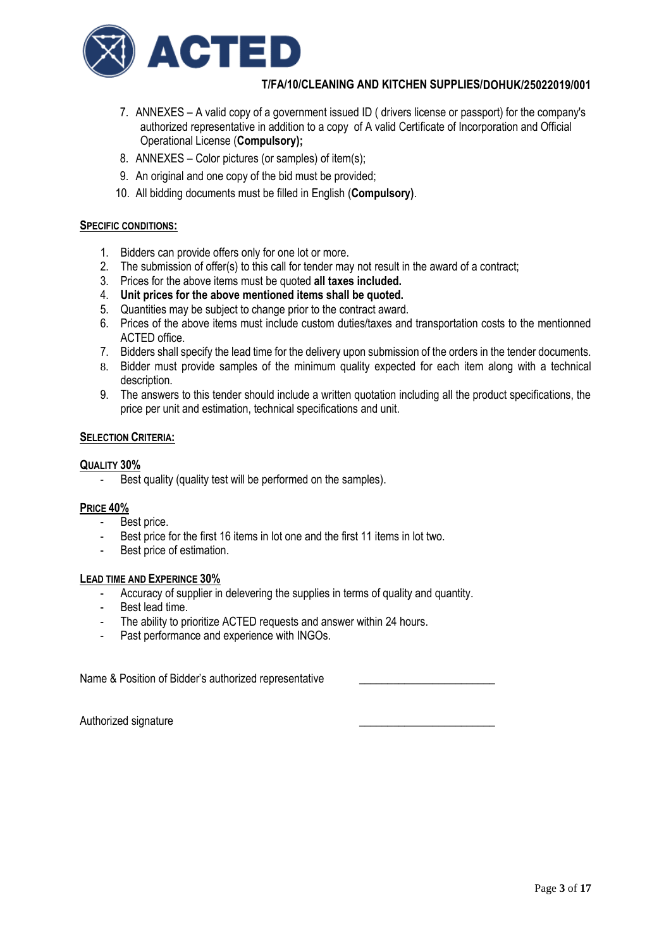

- 7. ANNEXES A valid copy of a government issued ID ( drivers license or passport) for the company's authorized representative in addition to a copy of A valid Certificate of Incorporation and Official Operational License (**Compulsory);**
- 8. ANNEXES Color pictures (or samples) of item(s);
- 9. An original and one copy of the bid must be provided;
- 10. All bidding documents must be filled in English (**Compulsory)**.

## **SPECIFIC CONDITIONS:**

- 1. Bidders can provide offers only for one lot or more.
- 2. The submission of offer(s) to this call for tender may not result in the award of a contract;
- 3. Prices for the above items must be quoted **all taxes included.**
- 4. **Unit prices for the above mentioned items shall be quoted.**
- 5. Quantities may be subject to change prior to the contract award.
- 6. Prices of the above items must include custom duties/taxes and transportation costs to the mentionned ACTED office.
- 7. Bidders shall specify the lead time for the delivery upon submission of the orders in the tender documents.
- 8. Bidder must provide samples of the minimum quality expected for each item along with a technical description.
- 9. The answers to this tender should include a written quotation including all the product specifications, the price per unit and estimation, technical specifications and unit.

#### **SELECTION CRITERIA:**

#### **QUALITY 30%**

Best quality (quality test will be performed on the samples).

#### **PRICE 40%**

- Best price.
- Best price for the first 16 items in lot one and the first 11 items in lot two.
- Best price of estimation.

#### **LEAD TIME AND EXPERINCE 30%**

- Accuracy of supplier in delevering the supplies in terms of quality and quantity.
- Best lead time.
- The ability to prioritize ACTED requests and answer within 24 hours.
- Past performance and experience with INGOs.

Name & Position of Bidder's authorized representative

Authorized signature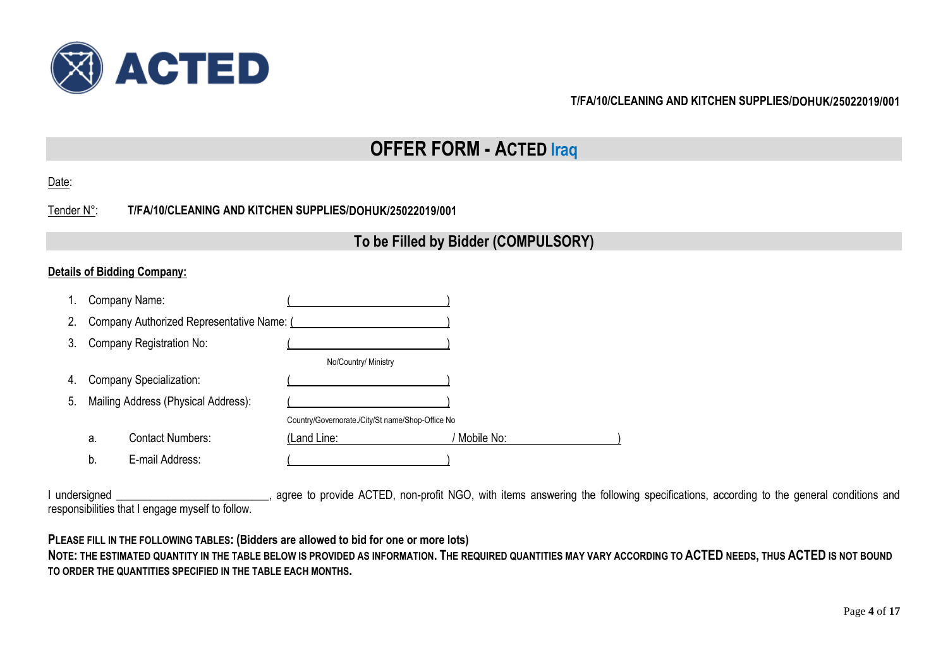

# **OFFER FORM - ACTED Iraq**

Tender N°: **T/FA/10/CLEANING AND KITCHEN SUPPLIES/DOHUK/25022019/001**

# **To be Filled by Bidder (COMPULSORY)**

# **Details of Bidding Company:**

| 1. |                                     | Company Name:                             |                                                  |            |
|----|-------------------------------------|-------------------------------------------|--------------------------------------------------|------------|
| 2. |                                     | Company Authorized Representative Name: ( |                                                  |            |
| 3. |                                     | Company Registration No:                  |                                                  |            |
|    |                                     |                                           | No/Country/ Ministry                             |            |
| 4. | <b>Company Specialization:</b>      |                                           |                                                  |            |
| 5. | Mailing Address (Physical Address): |                                           |                                                  |            |
|    |                                     |                                           | Country/Governorate./City/St name/Shop-Office No |            |
|    | a.                                  | <b>Contact Numbers:</b>                   | (Land Line:                                      | Mobile No: |
|    | b.                                  | E-mail Address:                           |                                                  |            |

I undersigned \_\_\_\_\_\_\_\_\_\_\_\_\_\_\_\_\_\_\_\_\_\_\_\_, agree to provide ACTED, non-profit NGO, with items answering the following specifications, according to the general conditions and responsibilities that I engage myself to follow.

**PLEASE FILL IN THE FOLLOWING TABLES: (Bidders are allowed to bid for one or more lots)**

NOTE: THE ESTIMATED QUANTITY IN THE TABLE BELOW IS PROVIDED AS INFORMATION. THE REQUIRED QUANTITIES MAY VARY ACCORDING TO ACTED NEEDS, THUS ACTED IS NOT BOUND **TO ORDER THE QUANTITIES SPECIFIED IN THE TABLE EACH MONTHS.**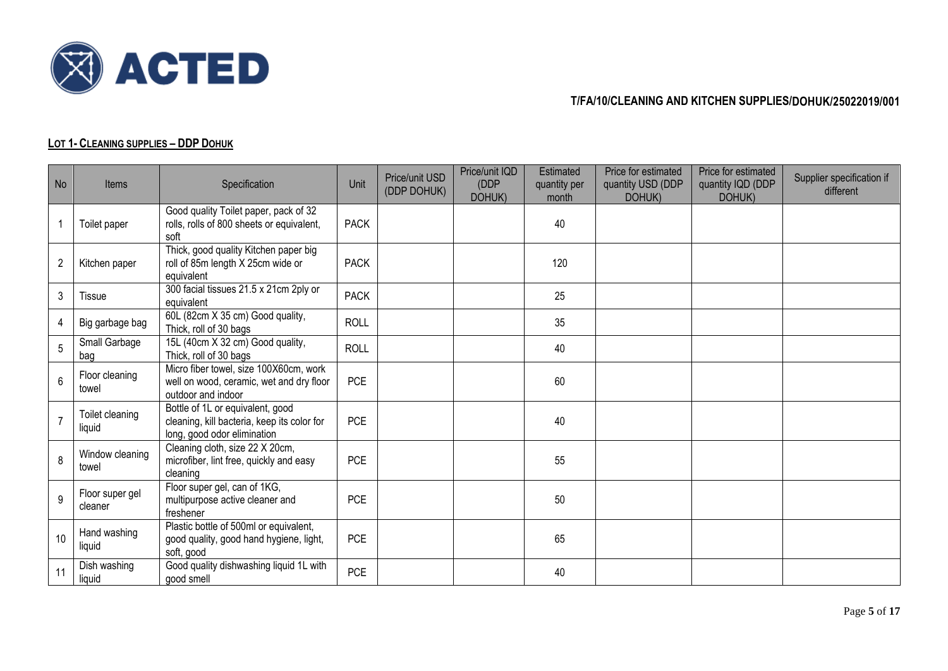

# **LOT 1- CLEANING SUPPLIES – DDP DOHUK**

| No             | Items                      | Specification                                                                                                  | Unit        | Price/unit USD<br>(DDP DOHUK) | Price/unit IQD<br>(DDP<br>DOHUK) | Estimated<br>quantity per<br>month | Price for estimated<br>quantity USD (DDP<br>DOHUK) | Price for estimated<br>quantity IQD (DDP<br>DOHUK) | Supplier specification if<br>different |
|----------------|----------------------------|----------------------------------------------------------------------------------------------------------------|-------------|-------------------------------|----------------------------------|------------------------------------|----------------------------------------------------|----------------------------------------------------|----------------------------------------|
| 1              | Toilet paper               | Good quality Toilet paper, pack of 32<br>rolls, rolls of 800 sheets or equivalent,<br>soft                     | <b>PACK</b> |                               |                                  | 40                                 |                                                    |                                                    |                                        |
| $\overline{2}$ | Kitchen paper              | Thick, good quality Kitchen paper big<br>roll of 85m length X 25cm wide or<br>equivalent                       | <b>PACK</b> |                               |                                  | 120                                |                                                    |                                                    |                                        |
| 3              | <b>Tissue</b>              | 300 facial tissues 21.5 x 21cm 2ply or<br>equivalent                                                           | <b>PACK</b> |                               |                                  | 25                                 |                                                    |                                                    |                                        |
| 4              | Big garbage bag            | 60L (82cm X 35 cm) Good quality,<br>Thick, roll of 30 bags                                                     | <b>ROLL</b> |                               |                                  | 35                                 |                                                    |                                                    |                                        |
| 5              | Small Garbage<br>bag       | 15L (40cm X 32 cm) Good quality,<br>Thick, roll of 30 bags                                                     | <b>ROLL</b> |                               |                                  | 40                                 |                                                    |                                                    |                                        |
| 6              | Floor cleaning<br>towel    | Micro fiber towel, size 100X60cm, work<br>well on wood, ceramic, wet and dry floor<br>outdoor and indoor       | <b>PCE</b>  |                               |                                  | 60                                 |                                                    |                                                    |                                        |
|                | Toilet cleaning<br>liquid  | Bottle of 1L or equivalent, good<br>cleaning, kill bacteria, keep its color for<br>long, good odor elimination | <b>PCE</b>  |                               |                                  | 40                                 |                                                    |                                                    |                                        |
| 8              | Window cleaning<br>towel   | Cleaning cloth, size 22 X 20cm,<br>microfiber, lint free, quickly and easy<br>cleaning                         | <b>PCE</b>  |                               |                                  | 55                                 |                                                    |                                                    |                                        |
| 9              | Floor super gel<br>cleaner | Floor super gel, can of 1KG,<br>multipurpose active cleaner and<br>freshener                                   | <b>PCE</b>  |                               |                                  | 50                                 |                                                    |                                                    |                                        |
| 10             | Hand washing<br>liquid     | Plastic bottle of 500ml or equivalent,<br>good quality, good hand hygiene, light,<br>soft, good                | <b>PCE</b>  |                               |                                  | 65                                 |                                                    |                                                    |                                        |
| 11             | Dish washing<br>liquid     | Good quality dishwashing liquid 1L with<br>good smell                                                          | <b>PCE</b>  |                               |                                  | 40                                 |                                                    |                                                    |                                        |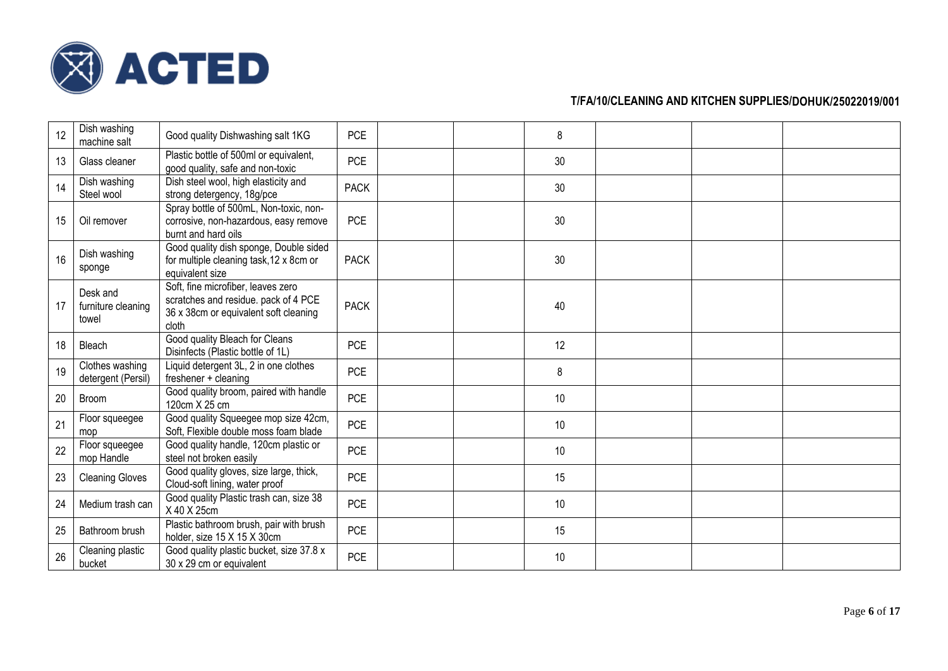

| 12 | Dish washing<br>machine salt            | Good quality Dishwashing salt 1KG                                                                                            | <b>PCE</b>  | 8  |  |  |
|----|-----------------------------------------|------------------------------------------------------------------------------------------------------------------------------|-------------|----|--|--|
| 13 | Glass cleaner                           | Plastic bottle of 500ml or equivalent,<br>good quality, safe and non-toxic                                                   | <b>PCE</b>  | 30 |  |  |
| 14 | Dish washing<br>Steel wool              | Dish steel wool, high elasticity and<br>strong detergency, 18g/pce                                                           | <b>PACK</b> | 30 |  |  |
| 15 | Oil remover                             | Spray bottle of 500mL, Non-toxic, non-<br>corrosive, non-hazardous, easy remove<br>burnt and hard oils                       | <b>PCE</b>  | 30 |  |  |
| 16 | Dish washing<br>sponge                  | Good quality dish sponge, Double sided<br>for multiple cleaning task, 12 x 8cm or<br>equivalent size                         | <b>PACK</b> | 30 |  |  |
| 17 | Desk and<br>furniture cleaning<br>towel | Soft, fine microfiber, leaves zero<br>scratches and residue. pack of 4 PCE<br>36 x 38cm or equivalent soft cleaning<br>cloth | <b>PACK</b> | 40 |  |  |
| 18 | Bleach                                  | Good quality Bleach for Cleans<br>Disinfects (Plastic bottle of 1L)                                                          | <b>PCE</b>  | 12 |  |  |
| 19 | Clothes washing<br>detergent (Persil)   | Liquid detergent 3L, 2 in one clothes<br>freshener + cleaning                                                                | <b>PCE</b>  | 8  |  |  |
| 20 | <b>Broom</b>                            | Good quality broom, paired with handle<br>120cm X 25 cm                                                                      | <b>PCE</b>  | 10 |  |  |
| 21 | Floor squeegee<br>mop                   | Good quality Squeegee mop size 42cm,<br>Soft, Flexible double moss foam blade                                                | <b>PCE</b>  | 10 |  |  |
| 22 | Floor squeegee<br>mop Handle            | Good quality handle, 120cm plastic or<br>steel not broken easily                                                             | <b>PCE</b>  | 10 |  |  |
| 23 | <b>Cleaning Gloves</b>                  | Good quality gloves, size large, thick,<br>Cloud-soft lining, water proof                                                    | <b>PCE</b>  | 15 |  |  |
| 24 | Medium trash can                        | Good quality Plastic trash can, size 38<br>X 40 X 25cm                                                                       | <b>PCE</b>  | 10 |  |  |
| 25 | Bathroom brush                          | Plastic bathroom brush, pair with brush<br>holder, size 15 X 15 X 30cm                                                       | PCE         | 15 |  |  |
| 26 | Cleaning plastic<br>bucket              | Good quality plastic bucket, size 37.8 x<br>30 x 29 cm or equivalent                                                         | <b>PCE</b>  | 10 |  |  |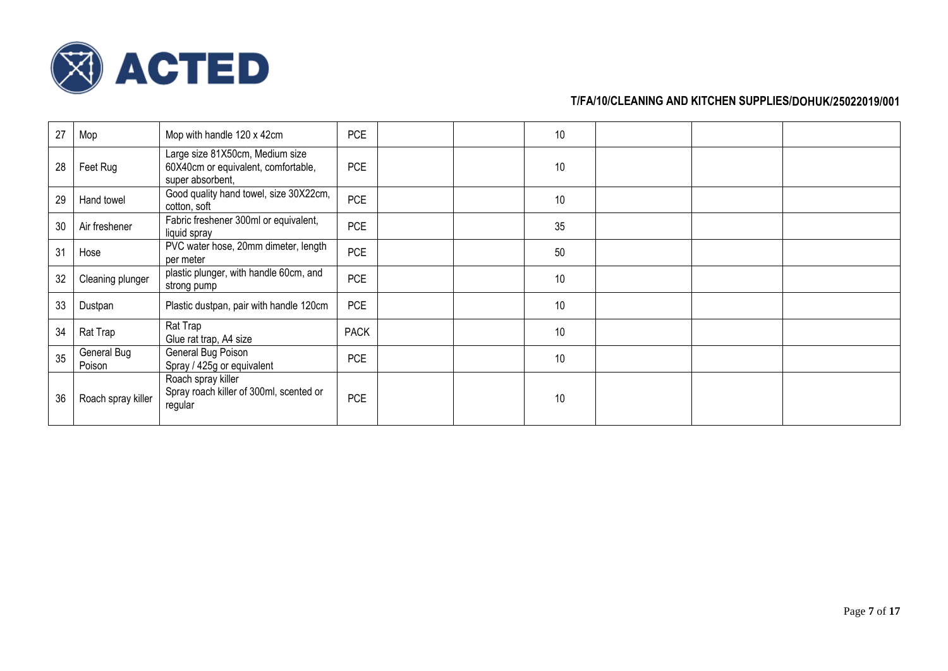

| 27 | Mop                   | Mop with handle 120 x 42cm                                                                 | <b>PCE</b>  | 10 |  |  |
|----|-----------------------|--------------------------------------------------------------------------------------------|-------------|----|--|--|
| 28 | Feet Rug              | Large size 81X50cm, Medium size<br>60X40cm or equivalent, comfortable,<br>super absorbent, | <b>PCE</b>  | 10 |  |  |
| 29 | Hand towel            | Good quality hand towel, size 30X22cm,<br>cotton, soft                                     | <b>PCE</b>  | 10 |  |  |
| 30 | Air freshener         | Fabric freshener 300ml or equivalent,<br>liquid spray                                      | <b>PCE</b>  | 35 |  |  |
| 31 | Hose                  | PVC water hose, 20mm dimeter, length<br>per meter                                          | <b>PCE</b>  | 50 |  |  |
| 32 | Cleaning plunger      | plastic plunger, with handle 60cm, and<br>strong pump                                      | <b>PCE</b>  | 10 |  |  |
| 33 | Dustpan               | Plastic dustpan, pair with handle 120cm                                                    | <b>PCE</b>  | 10 |  |  |
| 34 | Rat Trap              | Rat Trap<br>Glue rat trap, A4 size                                                         | <b>PACK</b> | 10 |  |  |
| 35 | General Bug<br>Poison | General Bug Poison<br>Spray / 425g or equivalent                                           | <b>PCE</b>  | 10 |  |  |
| 36 | Roach spray killer    | Roach spray killer<br>Spray roach killer of 300ml, scented or<br>regular                   | PCE         | 10 |  |  |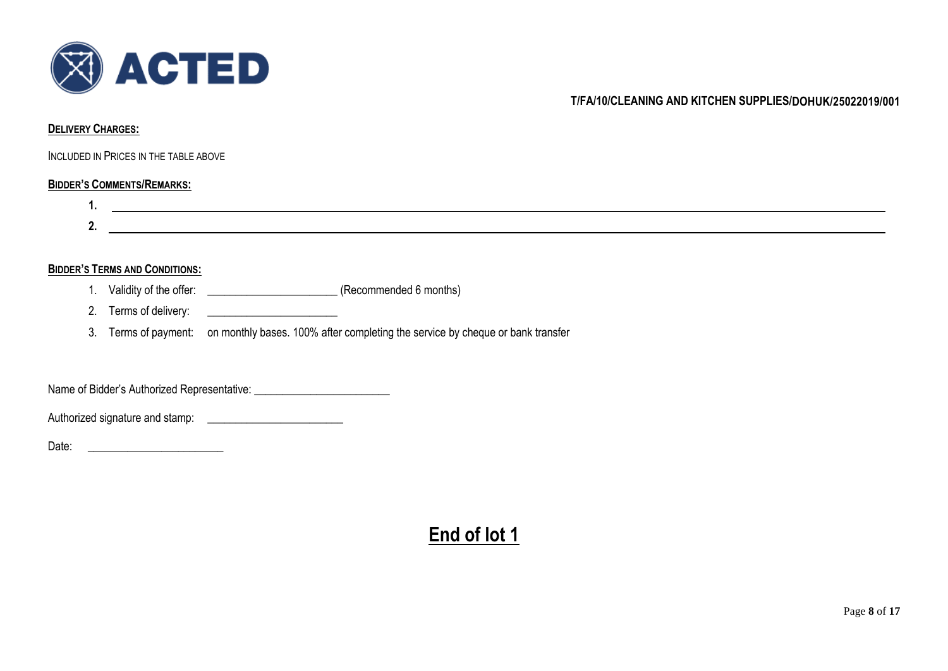

#### **DELIVERY CHARGES:**

INCLUDED IN PRICES IN THE TABLE ABOVE

# **BIDDER'S COMMENTS/REMARKS:**



# **BIDDER'S TERMS AND CONDITIONS:**

- 1. Validity of the offer:  $(Recommended 6 months)$
- 2. Terms of delivery: \_\_\_\_\_\_\_\_\_\_\_\_\_\_\_\_\_\_\_\_\_\_\_
- 3. Terms of payment: on monthly bases. 100% after completing the service by cheque or bank transfer

Name of Bidder's Authorized Representative:

Authorized signature and stamp:

Date: \_\_\_\_\_\_\_\_\_\_\_\_\_\_\_\_\_\_\_\_\_\_\_\_

# **End of lot 1**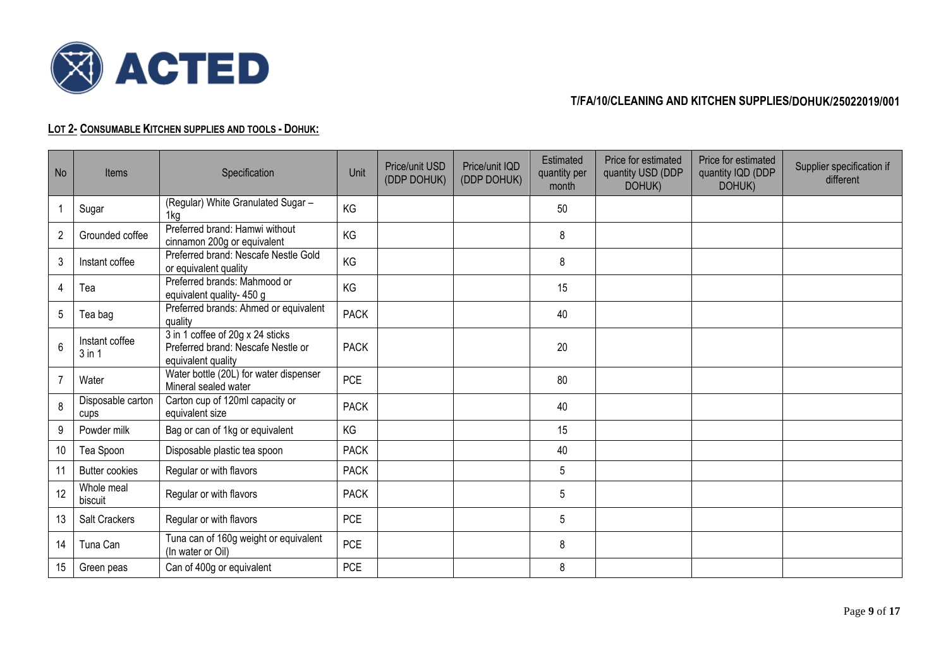

# **LOT 2- CONSUMABLE KITCHEN SUPPLIES AND TOOLS - DOHUK:**

| <b>No</b>      | Items                        | Specification                                                                                | Unit        | Price/unit USD<br>(DDP DOHUK) | Price/unit IQD<br>(DDP DOHUK) | Estimated<br>quantity per<br>month | Price for estimated<br>quantity USD (DDP<br>DOHUK) | Price for estimated<br>quantity IQD (DDP<br>DOHUK) | Supplier specification if<br>different |
|----------------|------------------------------|----------------------------------------------------------------------------------------------|-------------|-------------------------------|-------------------------------|------------------------------------|----------------------------------------------------|----------------------------------------------------|----------------------------------------|
|                | Sugar                        | (Regular) White Granulated Sugar -<br>1kg                                                    | KG          |                               |                               | 50                                 |                                                    |                                                    |                                        |
| $\overline{2}$ | Grounded coffee              | Preferred brand: Hamwi without<br>cinnamon 200g or equivalent                                | KG          |                               |                               | 8                                  |                                                    |                                                    |                                        |
| 3              | Instant coffee               | Preferred brand: Nescafe Nestle Gold<br>or equivalent quality                                | KG          |                               |                               | 8                                  |                                                    |                                                    |                                        |
| 4              | Tea                          | Preferred brands: Mahmood or<br>equivalent quality- 450 g                                    | KG          |                               |                               | 15                                 |                                                    |                                                    |                                        |
| 5              | Tea bag                      | Preferred brands: Ahmed or equivalent<br>quality                                             | <b>PACK</b> |                               |                               | 40                                 |                                                    |                                                    |                                        |
| 6              | Instant coffee<br>$3$ in $1$ | 3 in 1 coffee of 20g x 24 sticks<br>Preferred brand: Nescafe Nestle or<br>equivalent quality | <b>PACK</b> |                               |                               | 20                                 |                                                    |                                                    |                                        |
| $\overline{7}$ | Water                        | Water bottle (20L) for water dispenser<br>Mineral sealed water                               | <b>PCE</b>  |                               |                               | 80                                 |                                                    |                                                    |                                        |
| 8              | Disposable carton<br>cups    | Carton cup of 120ml capacity or<br>equivalent size                                           | <b>PACK</b> |                               |                               | 40                                 |                                                    |                                                    |                                        |
| 9              | Powder milk                  | Bag or can of 1kg or equivalent                                                              | KG          |                               |                               | 15                                 |                                                    |                                                    |                                        |
| 10             | Tea Spoon                    | Disposable plastic tea spoon                                                                 | <b>PACK</b> |                               |                               | 40                                 |                                                    |                                                    |                                        |
| 11             | <b>Butter cookies</b>        | Regular or with flavors                                                                      | <b>PACK</b> |                               |                               | 5                                  |                                                    |                                                    |                                        |
| 12             | Whole meal<br>biscuit        | Regular or with flavors                                                                      | <b>PACK</b> |                               |                               | 5                                  |                                                    |                                                    |                                        |
| 13             | Salt Crackers                | Regular or with flavors                                                                      | <b>PCE</b>  |                               |                               | 5                                  |                                                    |                                                    |                                        |
| 14             | Tuna Can                     | Tuna can of 160g weight or equivalent<br>(In water or Oil)                                   | <b>PCE</b>  |                               |                               | 8                                  |                                                    |                                                    |                                        |
| 15             | Green peas                   | Can of 400g or equivalent                                                                    | <b>PCE</b>  |                               |                               | 8                                  |                                                    |                                                    |                                        |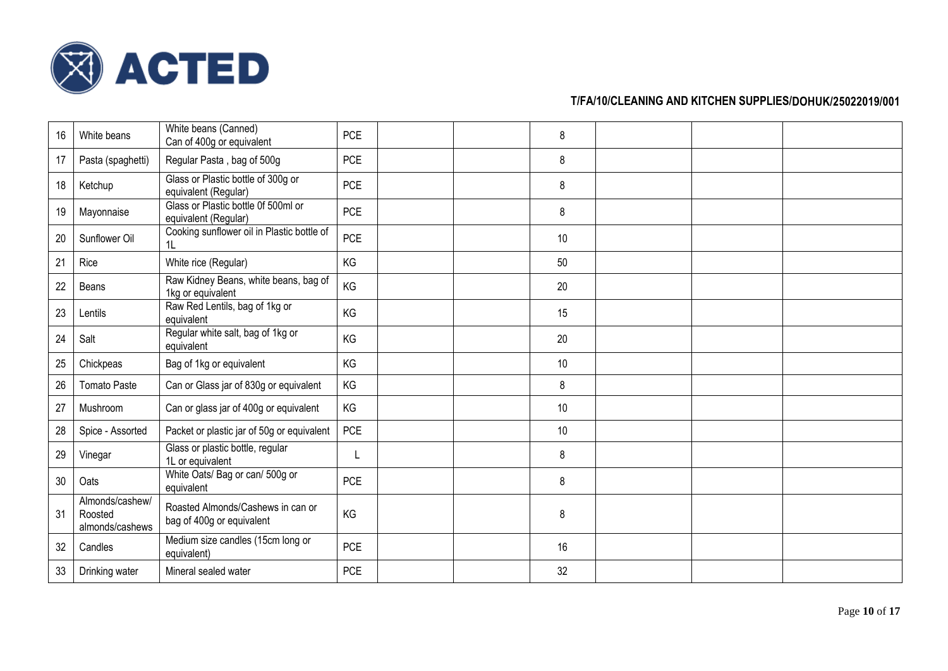

| 16 | White beans                                   | White beans (Canned)<br>Can of 400g or equivalent              | <b>PCE</b> |  | 8    |  |  |
|----|-----------------------------------------------|----------------------------------------------------------------|------------|--|------|--|--|
| 17 | Pasta (spaghetti)                             | Regular Pasta, bag of 500g                                     | <b>PCE</b> |  | 8    |  |  |
| 18 | Ketchup                                       | Glass or Plastic bottle of 300g or<br>equivalent (Regular)     | <b>PCE</b> |  | 8    |  |  |
| 19 | Mayonnaise                                    | Glass or Plastic bottle 0f 500ml or<br>equivalent (Regular)    | <b>PCE</b> |  | 8    |  |  |
| 20 | Sunflower Oil                                 | Cooking sunflower oil in Plastic bottle of<br>1L               | <b>PCE</b> |  | 10   |  |  |
| 21 | Rice                                          | White rice (Regular)                                           | KG         |  | 50   |  |  |
| 22 | Beans                                         | Raw Kidney Beans, white beans, bag of<br>1kg or equivalent     | <b>KG</b>  |  | 20   |  |  |
| 23 | Lentils                                       | Raw Red Lentils, bag of 1kg or<br>equivalent                   | <b>KG</b>  |  | 15   |  |  |
| 24 | Salt                                          | Regular white salt, bag of 1kg or<br>equivalent                | KG         |  | 20   |  |  |
| 25 | Chickpeas                                     | Bag of 1kg or equivalent                                       | KG         |  | $10$ |  |  |
| 26 | <b>Tomato Paste</b>                           | Can or Glass jar of 830g or equivalent                         | KG         |  | 8    |  |  |
| 27 | Mushroom                                      | Can or glass jar of 400g or equivalent                         | KG         |  | 10   |  |  |
| 28 | Spice - Assorted                              | Packet or plastic jar of 50g or equivalent                     | <b>PCE</b> |  | $10$ |  |  |
| 29 | Vinegar                                       | Glass or plastic bottle, regular<br>1L or equivalent           | L          |  | 8    |  |  |
| 30 | Oats                                          | White Oats/ Bag or can/ 500g or<br>equivalent                  | <b>PCE</b> |  | 8    |  |  |
| 31 | Almonds/cashew/<br>Roosted<br>almonds/cashews | Roasted Almonds/Cashews in can or<br>bag of 400g or equivalent | KG         |  | 8    |  |  |
| 32 | Candles                                       | Medium size candles (15cm long or<br>equivalent)               | <b>PCE</b> |  | 16   |  |  |
| 33 | Drinking water                                | Mineral sealed water                                           | <b>PCE</b> |  | 32   |  |  |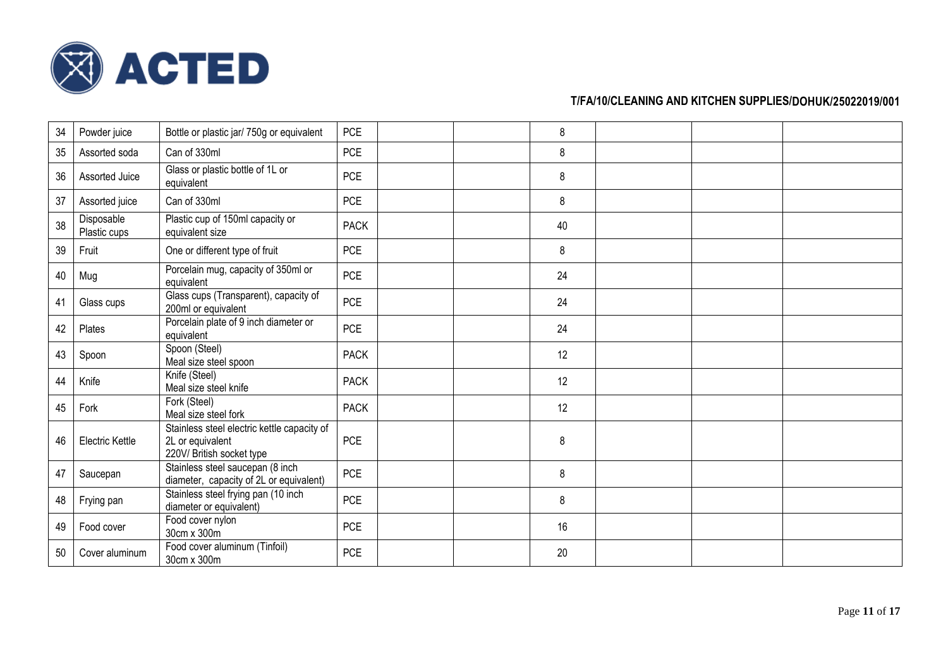

| 34 | Powder juice               | Bottle or plastic jar/ 750g or equivalent                                                    | <b>PCE</b>  | 8  |  |  |
|----|----------------------------|----------------------------------------------------------------------------------------------|-------------|----|--|--|
| 35 | Assorted soda              | Can of 330ml                                                                                 | <b>PCE</b>  | 8  |  |  |
| 36 | Assorted Juice             | Glass or plastic bottle of 1L or<br>equivalent                                               | <b>PCE</b>  | 8  |  |  |
| 37 | Assorted juice             | Can of 330ml                                                                                 | <b>PCE</b>  | 8  |  |  |
| 38 | Disposable<br>Plastic cups | Plastic cup of 150ml capacity or<br>equivalent size                                          | <b>PACK</b> | 40 |  |  |
| 39 | Fruit                      | One or different type of fruit                                                               | <b>PCE</b>  | 8  |  |  |
| 40 | Mug                        | Porcelain mug, capacity of 350ml or<br>equivalent                                            | <b>PCE</b>  | 24 |  |  |
| 41 | Glass cups                 | Glass cups (Transparent), capacity of<br>200ml or equivalent                                 | <b>PCE</b>  | 24 |  |  |
| 42 | Plates                     | Porcelain plate of 9 inch diameter or<br>equivalent                                          | <b>PCE</b>  | 24 |  |  |
| 43 | Spoon                      | Spoon (Steel)<br>Meal size steel spoon                                                       | <b>PACK</b> | 12 |  |  |
| 44 | Knife                      | Knife (Steel)<br>Meal size steel knife                                                       | <b>PACK</b> | 12 |  |  |
| 45 | Fork                       | Fork (Steel)<br>Meal size steel fork                                                         | <b>PACK</b> | 12 |  |  |
| 46 | Electric Kettle            | Stainless steel electric kettle capacity of<br>2L or equivalent<br>220V/ British socket type | <b>PCE</b>  | 8  |  |  |
| 47 | Saucepan                   | Stainless steel saucepan (8 inch<br>diameter, capacity of 2L or equivalent)                  | <b>PCE</b>  | 8  |  |  |
| 48 | Frying pan                 | Stainless steel frying pan (10 inch<br>diameter or equivalent)                               | <b>PCE</b>  | 8  |  |  |
| 49 | Food cover                 | Food cover nylon<br>30cm x 300m                                                              | <b>PCE</b>  | 16 |  |  |
| 50 | Cover aluminum             | Food cover aluminum (Tinfoil)<br>30cm x 300m                                                 | <b>PCE</b>  | 20 |  |  |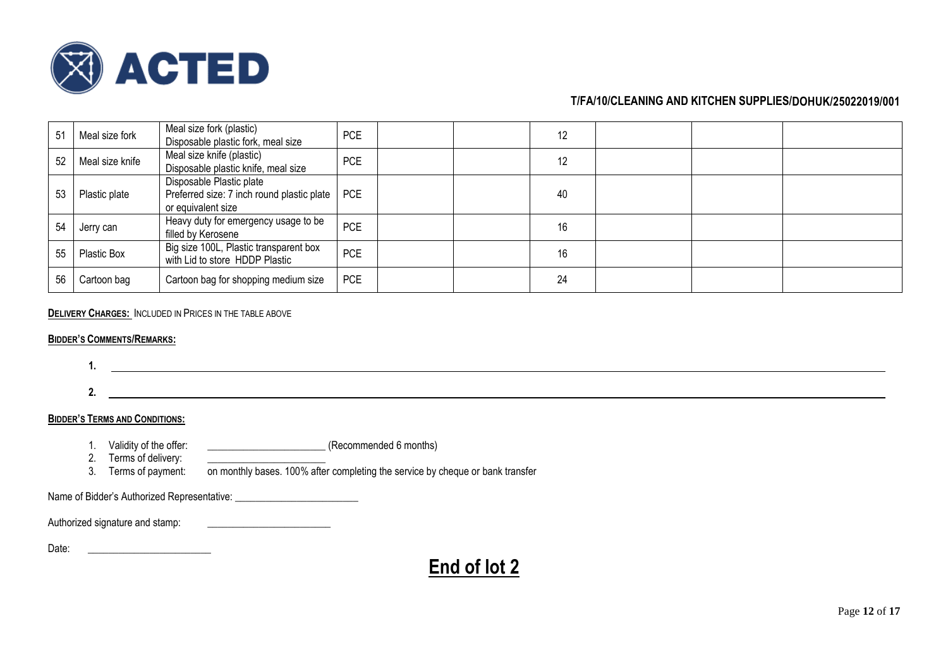

| 51 | Meal size fork  | Meal size fork (plastic)<br>Disposable plastic fork, meal size                               | <b>PCE</b> | 12 |  |  |
|----|-----------------|----------------------------------------------------------------------------------------------|------------|----|--|--|
| 52 | Meal size knife | Meal size knife (plastic)<br>Disposable plastic knife, meal size                             | <b>PCE</b> | 12 |  |  |
| 53 | Plastic plate   | Disposable Plastic plate<br>Preferred size: 7 inch round plastic plate<br>or equivalent size | <b>PCE</b> | 40 |  |  |
| 54 | Jerry can       | Heavy duty for emergency usage to be<br>filled by Kerosene                                   | <b>PCE</b> | 16 |  |  |
| 55 | Plastic Box     | Big size 100L, Plastic transparent box<br>with Lid to store HDDP Plastic                     | <b>PCE</b> | 16 |  |  |
| 56 | Cartoon bag     | Cartoon bag for shopping medium size                                                         | <b>PCE</b> | 24 |  |  |

# **DELIVERY CHARGES:** INCLUDED IN PRICES IN THE TABLE ABOVE

#### **BIDDER'S COMMENTS/REMARKS:**

**1.**

**2.**

# **BIDDER'S TERMS AND CONDITIONS:**

- 1. Validity of the offer: \_\_\_\_\_\_\_\_\_\_\_\_\_\_\_\_\_\_\_\_\_\_\_\_\_\_(Recommended 6 months)
- 2. Terms of delivery:
- 
- 3. Terms of payment: on monthly bases. 100% after completing the service by cheque or bank transfer

Name of Bidder's Authorized Representative: \_\_\_\_\_\_\_\_\_\_\_\_\_\_\_\_\_\_\_\_\_\_\_\_

Authorized signature and stamp: \_\_\_\_\_\_\_\_\_\_\_\_\_\_\_\_\_\_\_\_\_\_\_\_

Date: \_\_\_\_\_\_\_\_\_\_\_\_\_\_\_\_\_\_\_\_\_\_\_\_

# **End of lot 2**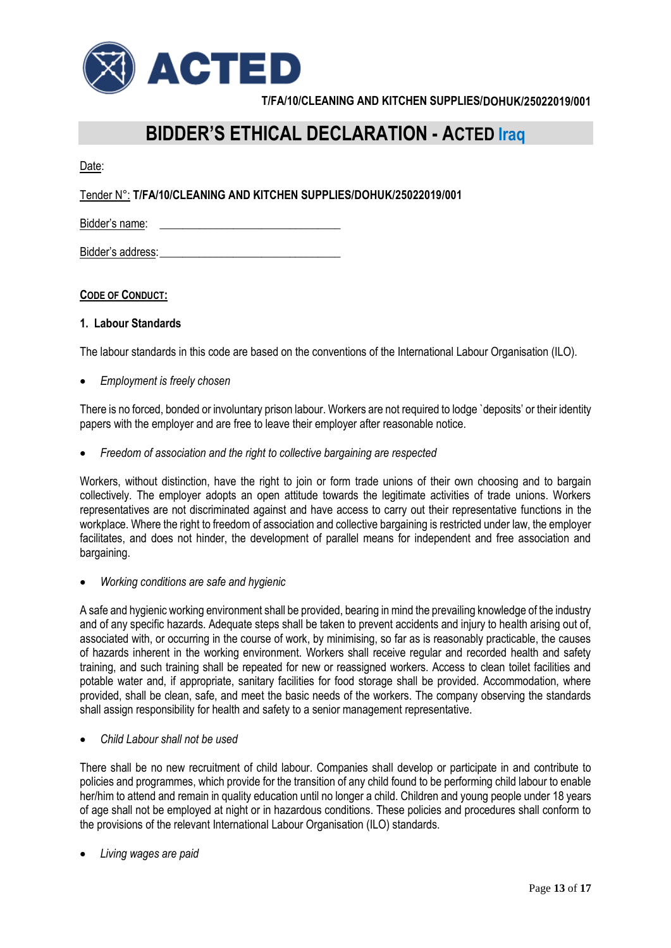

# **BIDDER'S ETHICAL DECLARATION - ACTED Iraq**

Date:

Tender N°: **T/FA/10/CLEANING AND KITCHEN SUPPLIES/DOHUK/25022019/001**

Bidder's name:

Bidder's address:

# **CODE OF CONDUCT:**

## **1. Labour Standards**

The labour standards in this code are based on the conventions of the International Labour Organisation (ILO).

• *Employment is freely chosen*

There is no forced, bonded or involuntary prison labour. Workers are not required to lodge `deposits' or their identity papers with the employer and are free to leave their employer after reasonable notice.

• *Freedom of association and the right to collective bargaining are respected*

Workers, without distinction, have the right to join or form trade unions of their own choosing and to bargain collectively. The employer adopts an open attitude towards the legitimate activities of trade unions. Workers representatives are not discriminated against and have access to carry out their representative functions in the workplace. Where the right to freedom of association and collective bargaining is restricted under law, the employer facilitates, and does not hinder, the development of parallel means for independent and free association and bargaining.

• *Working conditions are safe and hygienic*

A safe and hygienic working environment shall be provided, bearing in mind the prevailing knowledge of the industry and of any specific hazards. Adequate steps shall be taken to prevent accidents and injury to health arising out of, associated with, or occurring in the course of work, by minimising, so far as is reasonably practicable, the causes of hazards inherent in the working environment. Workers shall receive regular and recorded health and safety training, and such training shall be repeated for new or reassigned workers. Access to clean toilet facilities and potable water and, if appropriate, sanitary facilities for food storage shall be provided. Accommodation, where provided, shall be clean, safe, and meet the basic needs of the workers. The company observing the standards shall assign responsibility for health and safety to a senior management representative.

• *Child Labour shall not be used*

There shall be no new recruitment of child labour. Companies shall develop or participate in and contribute to policies and programmes, which provide for the transition of any child found to be performing child labour to enable her/him to attend and remain in quality education until no longer a child. Children and young people under 18 years of age shall not be employed at night or in hazardous conditions. These policies and procedures shall conform to the provisions of the relevant International Labour Organisation (ILO) standards.

• *Living wages are paid*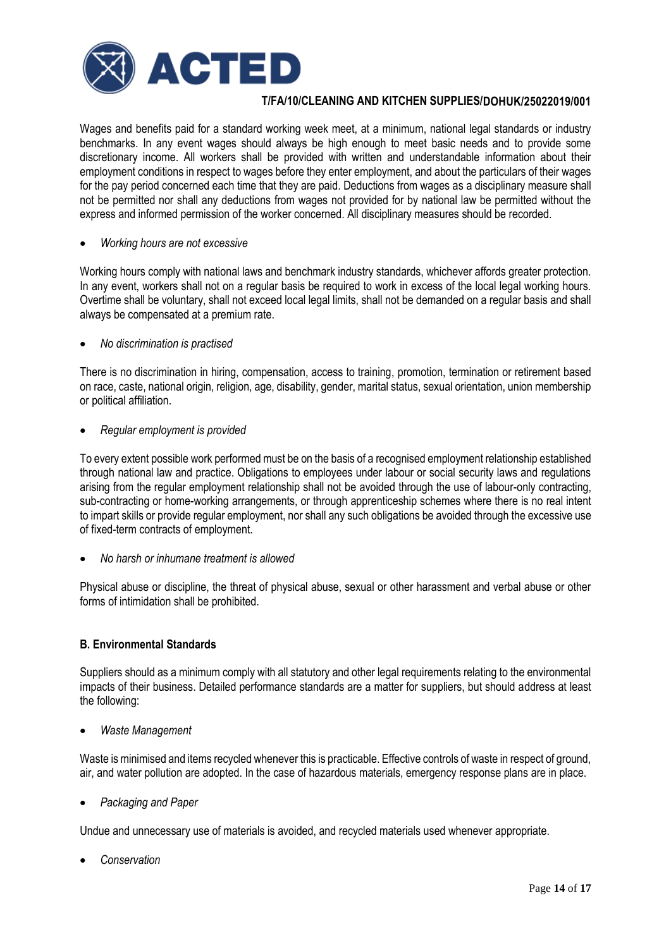

Wages and benefits paid for a standard working week meet, at a minimum, national legal standards or industry benchmarks. In any event wages should always be high enough to meet basic needs and to provide some discretionary income. All workers shall be provided with written and understandable information about their employment conditions in respect to wages before they enter employment, and about the particulars of their wages for the pay period concerned each time that they are paid. Deductions from wages as a disciplinary measure shall not be permitted nor shall any deductions from wages not provided for by national law be permitted without the express and informed permission of the worker concerned. All disciplinary measures should be recorded.

#### • *Working hours are not excessive*

Working hours comply with national laws and benchmark industry standards, whichever affords greater protection. In any event, workers shall not on a regular basis be required to work in excess of the local legal working hours. Overtime shall be voluntary, shall not exceed local legal limits, shall not be demanded on a regular basis and shall always be compensated at a premium rate.

## • *No discrimination is practised*

There is no discrimination in hiring, compensation, access to training, promotion, termination or retirement based on race, caste, national origin, religion, age, disability, gender, marital status, sexual orientation, union membership or political affiliation.

## • *Regular employment is provided*

To every extent possible work performed must be on the basis of a recognised employment relationship established through national law and practice. Obligations to employees under labour or social security laws and regulations arising from the regular employment relationship shall not be avoided through the use of labour-only contracting, sub-contracting or home-working arrangements, or through apprenticeship schemes where there is no real intent to impart skills or provide regular employment, nor shall any such obligations be avoided through the excessive use of fixed-term contracts of employment.

• *No harsh or inhumane treatment is allowed*

Physical abuse or discipline, the threat of physical abuse, sexual or other harassment and verbal abuse or other forms of intimidation shall be prohibited.

## **B. Environmental Standards**

Suppliers should as a minimum comply with all statutory and other legal requirements relating to the environmental impacts of their business. Detailed performance standards are a matter for suppliers, but should address at least the following:

• *Waste Management*

Waste is minimised and items recycled whenever this is practicable. Effective controls of waste in respect of ground, air, and water pollution are adopted. In the case of hazardous materials, emergency response plans are in place.

• *Packaging and Paper*

Undue and unnecessary use of materials is avoided, and recycled materials used whenever appropriate.

• *Conservation*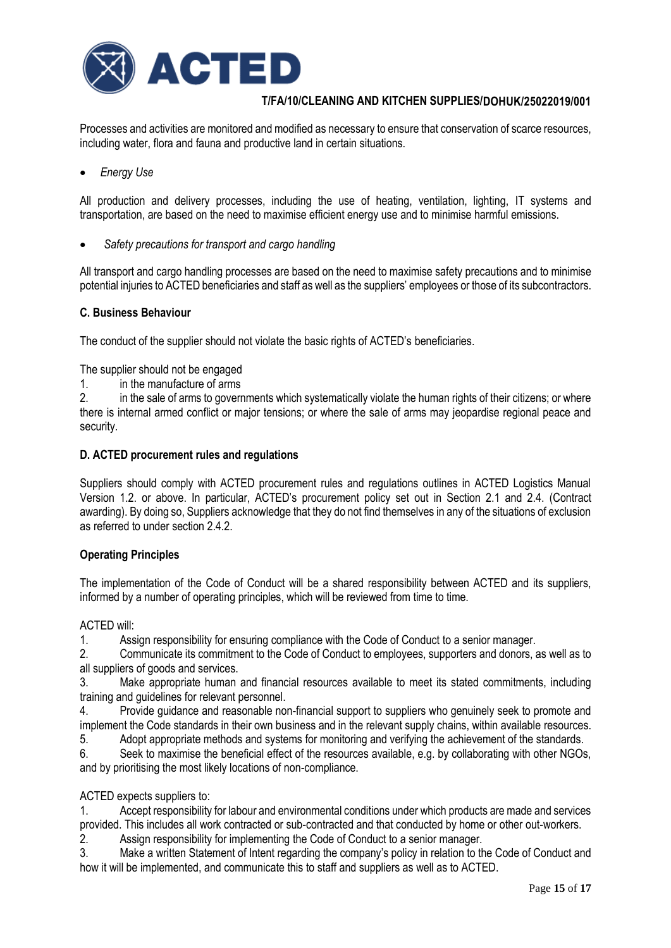

Processes and activities are monitored and modified as necessary to ensure that conservation of scarce resources, including water, flora and fauna and productive land in certain situations.

• *Energy Use* 

All production and delivery processes, including the use of heating, ventilation, lighting, IT systems and transportation, are based on the need to maximise efficient energy use and to minimise harmful emissions.

• *Safety precautions for transport and cargo handling*

All transport and cargo handling processes are based on the need to maximise safety precautions and to minimise potential injuries to ACTED beneficiaries and staff as well as the suppliers' employees or those of its subcontractors.

#### **C. Business Behaviour**

The conduct of the supplier should not violate the basic rights of ACTED's beneficiaries.

The supplier should not be engaged

1. in the manufacture of arms

2. in the sale of arms to governments which systematically violate the human rights of their citizens; or where there is internal armed conflict or major tensions; or where the sale of arms may jeopardise regional peace and security.

#### **D. ACTED procurement rules and regulations**

Suppliers should comply with ACTED procurement rules and regulations outlines in ACTED Logistics Manual Version 1.2. or above. In particular, ACTED's procurement policy set out in Section 2.1 and 2.4. (Contract awarding). By doing so, Suppliers acknowledge that they do not find themselves in any of the situations of exclusion as referred to under section 2.4.2

## **Operating Principles**

The implementation of the Code of Conduct will be a shared responsibility between ACTED and its suppliers, informed by a number of operating principles, which will be reviewed from time to time.

#### ACTED will:

1. Assign responsibility for ensuring compliance with the Code of Conduct to a senior manager.

2. Communicate its commitment to the Code of Conduct to employees, supporters and donors, as well as to all suppliers of goods and services.

3. Make appropriate human and financial resources available to meet its stated commitments, including training and guidelines for relevant personnel.

4. Provide guidance and reasonable non-financial support to suppliers who genuinely seek to promote and implement the Code standards in their own business and in the relevant supply chains, within available resources.

5. Adopt appropriate methods and systems for monitoring and verifying the achievement of the standards.

6. Seek to maximise the beneficial effect of the resources available, e.g. by collaborating with other NGOs, and by prioritising the most likely locations of non-compliance.

## ACTED expects suppliers to:

1. Accept responsibility for labour and environmental conditions under which products are made and services provided. This includes all work contracted or sub-contracted and that conducted by home or other out-workers.

2. Assign responsibility for implementing the Code of Conduct to a senior manager.

3. Make a written Statement of Intent regarding the company's policy in relation to the Code of Conduct and how it will be implemented, and communicate this to staff and suppliers as well as to ACTED.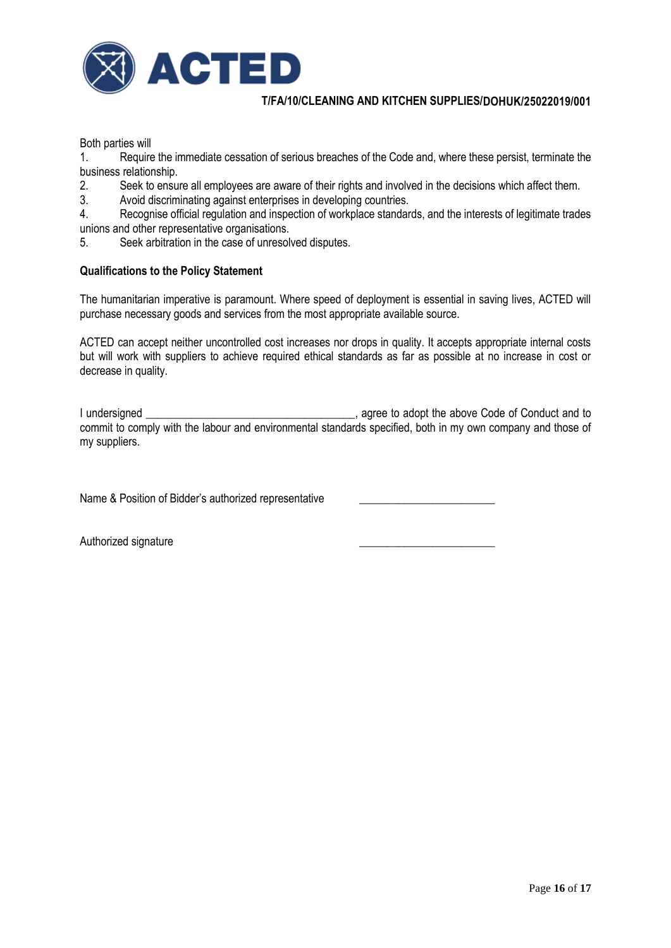

Both parties will

1. Require the immediate cessation of serious breaches of the Code and, where these persist, terminate the business relationship.

- 2. Seek to ensure all employees are aware of their rights and involved in the decisions which affect them.
- 3. Avoid discriminating against enterprises in developing countries.

4. Recognise official regulation and inspection of workplace standards, and the interests of legitimate trades unions and other representative organisations.

5. Seek arbitration in the case of unresolved disputes.

# **Qualifications to the Policy Statement**

The humanitarian imperative is paramount. Where speed of deployment is essential in saving lives, ACTED will purchase necessary goods and services from the most appropriate available source.

ACTED can accept neither uncontrolled cost increases nor drops in quality. It accepts appropriate internal costs but will work with suppliers to achieve required ethical standards as far as possible at no increase in cost or decrease in quality.

I undersigned \_\_\_\_\_\_\_\_\_\_\_\_\_\_\_\_\_\_\_\_\_\_\_\_\_\_\_\_\_\_\_\_\_\_\_\_\_, agree to adopt the above Code of Conduct and to commit to comply with the labour and environmental standards specified, both in my own company and those of my suppliers.

Name & Position of Bidder's authorized representative

Authorized signature